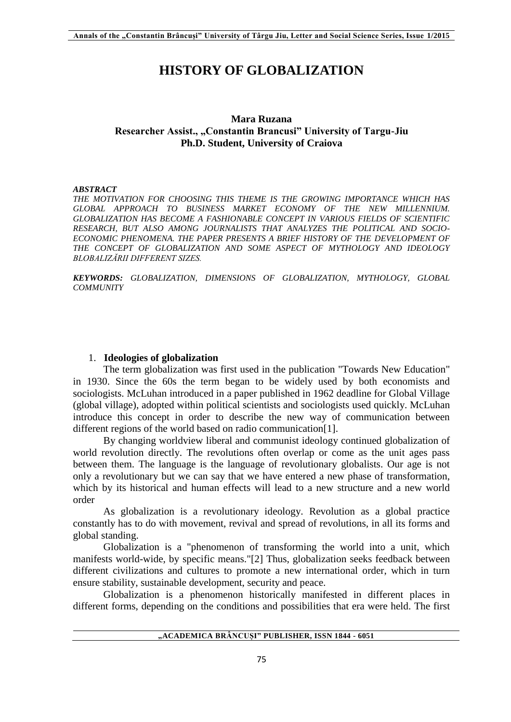# **HISTORY OF GLOBALIZATION**

## **Mara Ruzana Researcher Assist., "Constantin Brancusi" University of Targu-Jiu Ph.D. Student, University of Craiova**

#### *ABSTRACT*

*THE MOTIVATION FOR CHOOSING THIS THEME IS THE GROWING IMPORTANCE WHICH HAS GLOBAL APPROACH TO BUSINESS MARKET ECONOMY OF THE NEW MILLENNIUM. GLOBALIZATION HAS BECOME A FASHIONABLE CONCEPT IN VARIOUS FIELDS OF SCIENTIFIC RESEARCH, BUT ALSO AMONG JOURNALISTS THAT ANALYZES THE POLITICAL AND SOCIO-***ECONOMIC PHENOMENA. THE PAPER PRESENTS A BRIEF HISTORY OF THE DEVELOPMENT OF** THE CONCEPT OF GLOBALIZATION AND SOME ASPECT OF MYTHOLOGY AND IDEOLOGY *BLOBALIZĂRII DIFFERENT SIZES.*

*KEYWORDS: GLOBALIZATION, DIMENSIONS OF GLOBALIZATION, MYTHOLOGY, GLOBAL COMMUNITY*

#### 1. **Ideologies of globalization**

The term globalization was first used in the publication "Towards New Education" in 1930. Since the 60s the term began to be widely used by both economists and sociologists. McLuhan introduced in a paper published in 1962 deadline for Global Village (global village), adopted within political scientists and sociologists used quickly. McLuhan introduce this concept in order to describe the new way of communication between different regions of the world based on radio communication[1].

By changing worldview liberal and communist ideology continued globalization of world revolution directly. The revolutions often overlap or come as the unit ages pass between them. The language is the language of revolutionary globalists. Our age is not only a revolutionary but we can say that we have entered a new phase of transformation, which by its historical and human effects will lead to a new structure and a new world order

As globalization is a revolutionary ideology. Revolution as a global practice constantly has to do with movement, revival and spread of revolutions, in all its forms and global standing.

Globalization is a "phenomenon of transforming the world into a unit, which manifests world-wide, by specific means."[2] Thus, globalization seeks feedback between different civilizations and cultures to promote a new international order, which in turn ensure stability, sustainable development, security and peace.

Globalization is a phenomenon historically manifested in different places in different forms, depending on the conditions and possibilities that era were held. The first

## **"ACADEMICA BRÂNCUȘI" PUBLISHER, ISSN 1844 - 6051**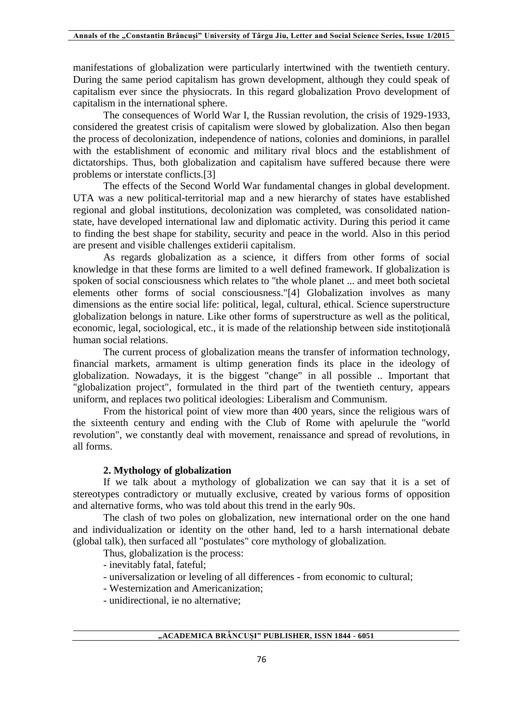manifestations of globalization were particularly intertwined with the twentieth century. During the same period capitalism has grown development, although they could speak of capitalism ever since the physiocrats. In this regard globalization Provo development of capitalism in the international sphere.

The consequences of World War I, the Russian revolution, the crisis of 1929-1933, considered the greatest crisis of capitalism were slowed by globalization. Also then began the process of decolonization, independence of nations, colonies and dominions, in parallel with the establishment of economic and military rival blocs and the establishment of dictatorships. Thus, both globalization and capitalism have suffered because there were problems or interstate conflicts.[3]

The effects of the Second World War fundamental changes in global development. UTA was a new political-territorial map and a new hierarchy of states have established regional and global institutions, decolonization was completed, was consolidated nationstate, have developed international law and diplomatic activity. During this period it came to finding the best shape for stability, security and peace in the world. Also in this period are present and visible challenges extiderii capitalism.

As regards globalization as a science, it differs from other forms of social knowledge in that these forms are limited to a well defined framework. If globalization is spoken of social consciousness which relates to "the whole planet ... and meet both societal elements other forms of social consciousness."[4] Globalization involves as many dimensions as the entire social life: political, legal, cultural, ethical. Science superstructure globalization belongs in nature. Like other forms of superstructure as well as the political, economic, legal, sociological, etc., it is made of the relationship between side institotională human social relations.

The current process of globalization means the transfer of information technology, financial markets, armament is ultimp generation finds its place in the ideology of globalization. Nowadays, it is the biggest "change" in all possible .. Important that "globalization project", formulated in the third part of the twentieth century, appears uniform, and replaces two political ideologies: Liberalism and Communism.

From the historical point of view more than 400 years, since the religious wars of the sixteenth century and ending with the Club of Rome with apelurule the "world revolution", we constantly deal with movement, renaissance and spread of revolutions, in all forms.

#### **2. Mythology of globalization**

If we talk about a mythology of globalization we can say that it is a set of stereotypes contradictory or mutually exclusive, created by various forms of opposition and alternative forms, who was told about this trend in the early 90s.

The clash of two poles on globalization, new international order on the one hand and individualization or identity on the other hand, led to a harsh international debate (global talk), then surfaced all "postulates" core mythology of globalization.

Thus, globalization is the process:

- inevitably fatal, fateful;

- universalization or leveling of all differences from economic to cultural;
- Westernization and Americanization;
- unidirectional, ie no alternative;

**"ACADEMICA BRÂNCUȘI" PUBLISHER, ISSN 1844 - 6051**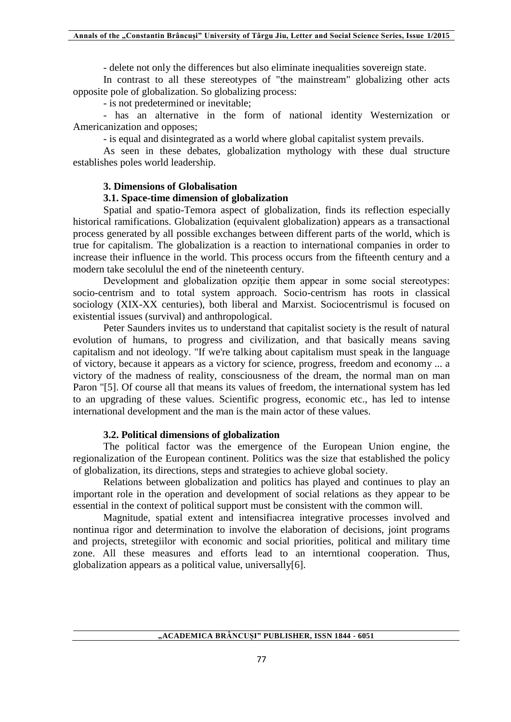- delete not only the differences but also eliminate inequalities sovereign state.

In contrast to all these stereotypes of "the mainstream" globalizing other acts opposite pole of globalization. So globalizing process:

- is not predetermined or inevitable;

- has an alternative in the form of national identity Westernization or Americanization and opposes;

- is equal and disintegrated as a world where global capitalist system prevails.

As seen in these debates, globalization mythology with these dual structure establishes poles world leadership.

## **3. Dimensions of Globalisation**

## **3.1. Space-time dimension of globalization**

Spatial and spatio-Temora aspect of globalization, finds its reflection especially historical ramifications. Globalization (equivalent globalization) appears as a transactional process generated by all possible exchanges between different parts of the world, which is true for capitalism. The globalization is a reaction to international companies in order to increase their influence in the world. This process occurs from the fifteenth century and a modern take secolulul the end of the nineteenth century.

Development and globalization opzitie them appear in some social stereotypes: socio-centrism and to total system approach. Socio-centrism has roots in classical sociology (XIX-XX centuries), both liberal and Marxist. Sociocentrismul is focused on existential issues (survival) and anthropological.

Peter Saunders invites us to understand that capitalist society is the result of natural evolution of humans, to progress and civilization, and that basically means saving capitalism and not ideology. "If we're talking about capitalism must speak in the language of victory, because it appears as a victory for science, progress, freedom and economy ... a victory of the madness of reality, consciousness of the dream, the normal man on man Paron "[5]. Of course all that means its values of freedom, the international system has led to an upgrading of these values. Scientific progress, economic etc., has led to intense international development and the man is the main actor of these values.

## **3.2. Political dimensions of globalization**

The political factor was the emergence of the European Union engine, the regionalization of the European continent. Politics was the size that established the policy of globalization, its directions, steps and strategies to achieve global society.

Relations between globalization and politics has played and continues to play an important role in the operation and development of social relations as they appear to be essential in the context of political support must be consistent with the common will.

Magnitude, spatial extent and intensifiacrea integrative processes involved and nontinua rigor and determination to involve the elaboration of decisions, joint programs and projects, stretegiilor with economic and social priorities, political and military time zone. All these measures and efforts lead to an interntional cooperation. Thus, globalization appears as a political value, universally[6].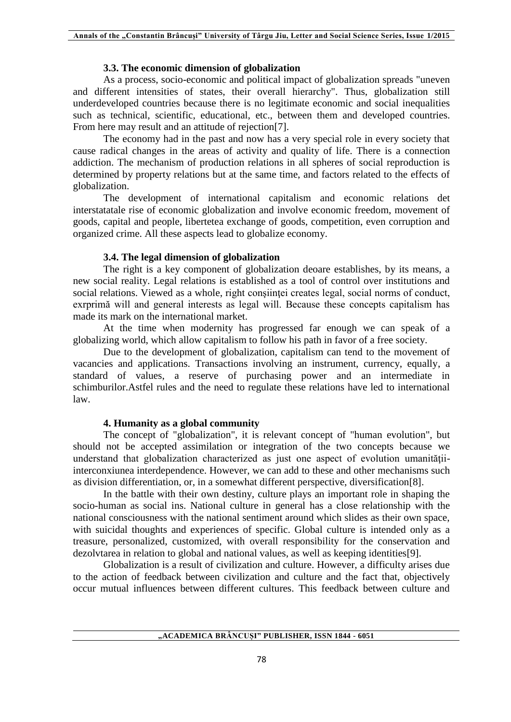### **3.3. The economic dimension of globalization**

As a process, socio-economic and political impact of globalization spreads "uneven and different intensities of states, their overall hierarchy". Thus, globalization still underdeveloped countries because there is no legitimate economic and social inequalities such as technical, scientific, educational, etc., between them and developed countries. From here may result and an attitude of rejection[7].

The economy had in the past and now has a very special role in every society that cause radical changes in the areas of activity and quality of life. There is a connection addiction. The mechanism of production relations in all spheres of social reproduction is determined by property relations but at the same time, and factors related to the effects of globalization.

The development of international capitalism and economic relations det interstatatale rise of economic globalization and involve economic freedom, movement of goods, capital and people, libertetea exchange of goods, competition, even corruption and organized crime. All these aspects lead to globalize economy.

## **3.4. The legal dimension of globalization**

The right is a key component of globalization deoare establishes, by its means, a new social reality. Legal relations is established as a tool of control over institutions and social relations. Viewed as a whole, right consiintei creates legal, social norms of conduct, exrprimă will and general interests as legal will. Because these concepts capitalism has made its mark on the international market.

At the time when modernity has progressed far enough we can speak of a globalizing world, which allow capitalism to follow his path in favor of a free society.

Due to the development of globalization, capitalism can tend to the movement of vacancies and applications. Transactions involving an instrument, currency, equally, a standard of values, a reserve of purchasing power and an intermediate in schimburilor.Astfel rules and the need to regulate these relations have led to international law.

## **4. Humanity as a global community**

The concept of "globalization", it is relevant concept of "human evolution", but should not be accepted assimilation or integration of the two concepts because we understand that globalization characterized as just one aspect of evolution umanitățiiinterconxiunea interdependence. However, we can add to these and other mechanisms such as division differentiation, or, in a somewhat different perspective, diversification[8].

In the battle with their own destiny, culture plays an important role in shaping the socio-human as social ins. National culture in general has a close relationship with the national consciousness with the national sentiment around which slides as their own space, with suicidal thoughts and experiences of specific. Global culture is intended only as a treasure, personalized, customized, with overall responsibility for the conservation and dezolvtarea in relation to global and national values, as well as keeping identities[9].

Globalization is a result of civilization and culture. However, a difficulty arises due to the action of feedback between civilization and culture and the fact that, objectively occur mutual influences between different cultures. This feedback between culture and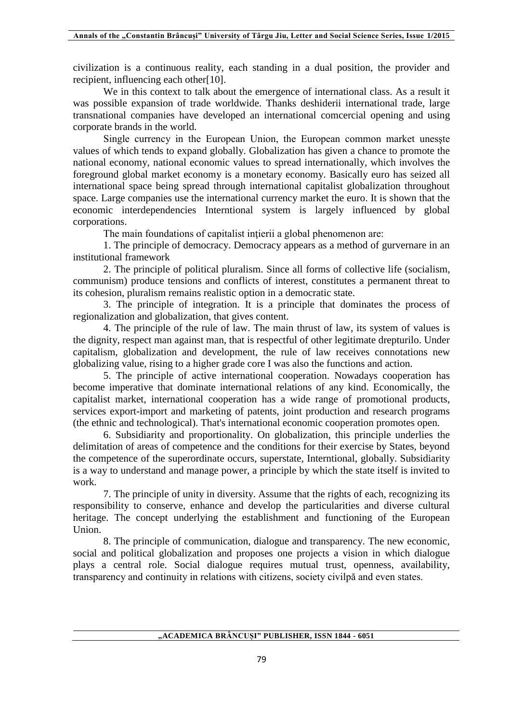civilization is a continuous reality, each standing in a dual position, the provider and recipient, influencing each other[10].

We in this context to talk about the emergence of international class. As a result it was possible expansion of trade worldwide. Thanks deshiderii international trade, large transnational companies have developed an international comcercial opening and using corporate brands in the world.

Single currency in the European Union, the European common market unesşte values of which tends to expand globally. Globalization has given a chance to promote the national economy, national economic values to spread internationally, which involves the foreground global market economy is a monetary economy. Basically euro has seized all international space being spread through international capitalist globalization throughout space. Large companies use the international currency market the euro. It is shown that the economic interdependencies Interntional system is largely influenced by global corporations.

The main foundations of capitalist intierii a global phenomenon are:

1. The principle of democracy. Democracy appears as a method of gurvernare in an institutional framework

2. The principle of political pluralism. Since all forms of collective life (socialism, communism) produce tensions and conflicts of interest, constitutes a permanent threat to its cohesion, pluralism remains realistic option in a democratic state.

3. The principle of integration. It is a principle that dominates the process of regionalization and globalization, that gives content.

4. The principle of the rule of law. The main thrust of law, its system of values is the dignity, respect man against man, that is respectful of other legitimate drepturilo. Under capitalism, globalization and development, the rule of law receives connotations new globalizing value, rising to a higher grade core I was also the functions and action.

5. The principle of active international cooperation. Nowadays cooperation has become imperative that dominate international relations of any kind. Economically, the capitalist market, international cooperation has a wide range of promotional products, services export-import and marketing of patents, joint production and research programs (the ethnic and technological). That's international economic cooperation promotes open.

6. Subsidiarity and proportionality. On globalization, this principle underlies the delimitation of areas of competence and the conditions for their exercise by States, beyond the competence of the superordinate occurs, superstate, Interntional, globally. Subsidiarity is a way to understand and manage power, a principle by which the state itself is invited to work.

7. The principle of unity in diversity. Assume that the rights of each, recognizing its responsibility to conserve, enhance and develop the particularities and diverse cultural heritage. The concept underlying the establishment and functioning of the European Union.

8. The principle of communication, dialogue and transparency. The new economic, social and political globalization and proposes one projects a vision in which dialogue plays a central role. Social dialogue requires mutual trust, openness, availability, transparency and continuity in relations with citizens, society civilpă and even states.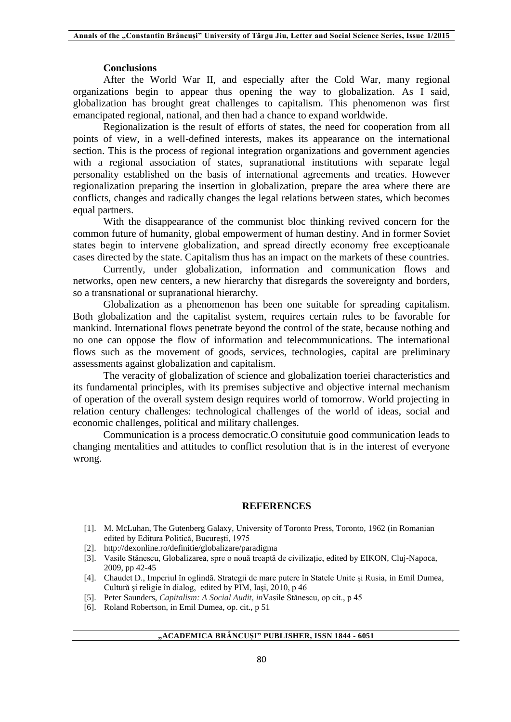#### **Conclusions**

After the World War II, and especially after the Cold War, many regional organizations begin to appear thus opening the way to globalization. As I said, globalization has brought great challenges to capitalism. This phenomenon was first emancipated regional, national, and then had a chance to expand worldwide.

Regionalization is the result of efforts of states, the need for cooperation from all points of view, in a well-defined interests, makes its appearance on the international section. This is the process of regional integration organizations and government agencies with a regional association of states, supranational institutions with separate legal personality established on the basis of international agreements and treaties. However regionalization preparing the insertion in globalization, prepare the area where there are conflicts, changes and radically changes the legal relations between states, which becomes equal partners.

With the disappearance of the communist bloc thinking revived concern for the common future of humanity, global empowerment of human destiny. And in former Soviet states begin to intervene globalization, and spread directly economy free exceptioanale cases directed by the state. Capitalism thus has an impact on the markets of these countries.

Currently, under globalization, information and communication flows and networks, open new centers, a new hierarchy that disregards the sovereignty and borders, so a transnational or supranational hierarchy.

Globalization as a phenomenon has been one suitable for spreading capitalism. Both globalization and the capitalist system, requires certain rules to be favorable for mankind. International flows penetrate beyond the control of the state, because nothing and no one can oppose the flow of information and telecommunications. The international flows such as the movement of goods, services, technologies, capital are preliminary assessments against globalization and capitalism.

The veracity of globalization of science and globalization toeriei characteristics and its fundamental principles, with its premises subjective and objective internal mechanism of operation of the overall system design requires world of tomorrow. World projecting in relation century challenges: technological challenges of the world of ideas, social and economic challenges, political and military challenges.

Communication is a process democratic.O consitutuie good communication leads to changing mentalities and attitudes to conflict resolution that is in the interest of everyone wrong.

#### **REFERENCES**

- [1]. M. McLuhan, The Gutenberg Galaxy, University of Toronto Press, Toronto, 1962 (in Romanian edited by Editura Politică, Bucureşti, 1975
- [2]. http://dexonline.ro/definitie/globalizare/paradigma
- [3]. Vasile Stănescu, Globalizarea, spre o nouă treaptă de civilizație, edited by EIKON, Cluj-Napoca, 2009, pp 42-45
- [4]. Chaudet D., Imperiul în oglindă. Strategii de mare putere în Statele Unite şi Rusia, in Emil Dumea, Cultură şi religie în dialog, edited by PIM, Iaşi, 2010, p 46
- [5]. Peter Saunders, *Capitalism: A Social Audit, in*Vasile Stănescu, op cit., p 45
- [6]. Roland Robertson, in Emil Dumea, op. cit., p 51

## **"ACADEMICA BRÂNCUȘI" PUBLISHER, ISSN 1844 - 6051**